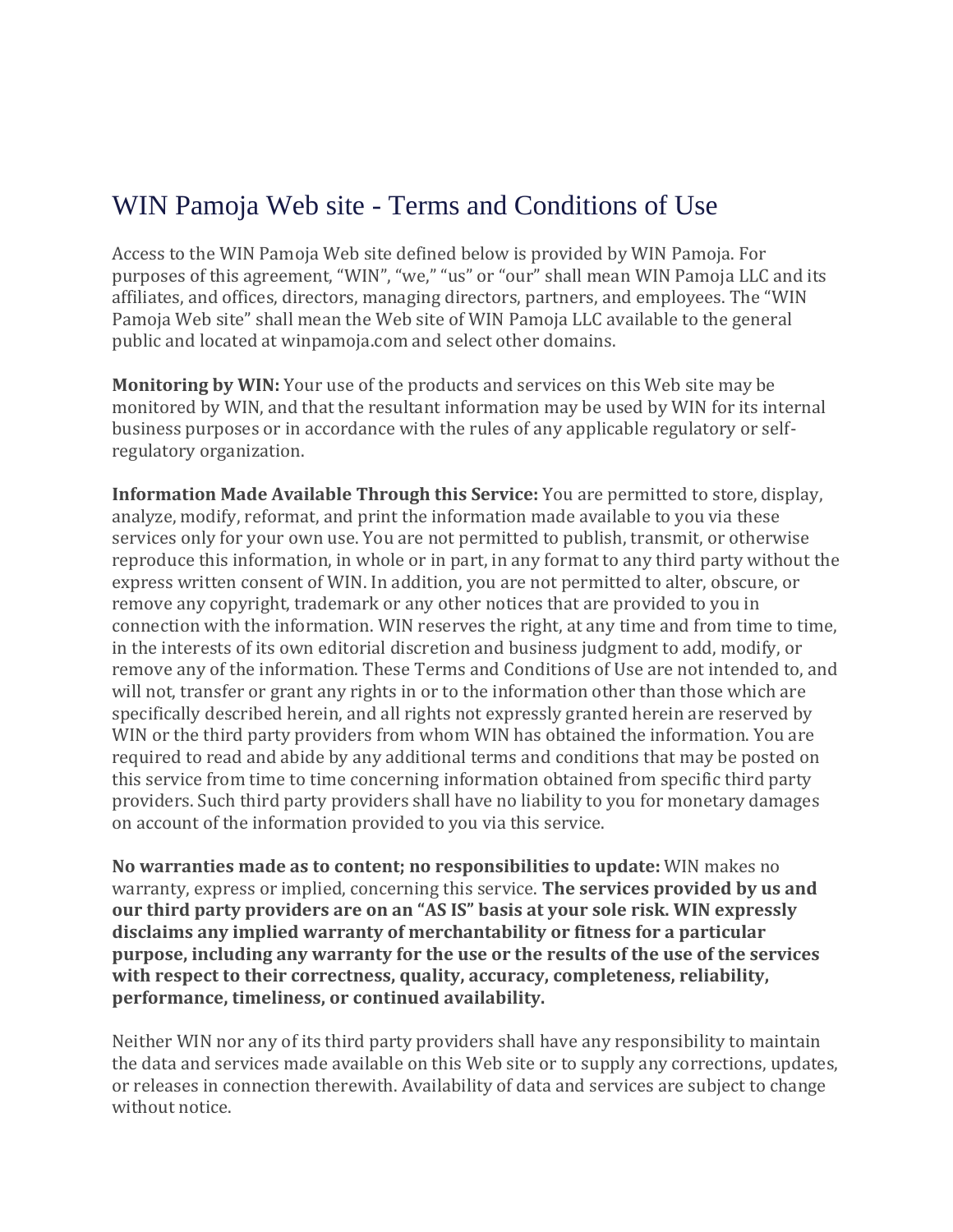## WIN Pamoja Web site - Terms and Conditions of Use

Access to the WIN Pamoja Web site defined below is provided by WIN Pamoja. For purposes of this agreement, "WIN", "we," "us" or "our" shall mean WIN Pamoja LLC and its affiliates, and offices, directors, managing directors, partners, and employees. The "WIN Pamoja Web site" shall mean the Web site of WIN Pamoja LLC available to the general public and located at winpamoja.com and select other domains.

**Monitoring by WIN:** Your use of the products and services on this Web site may be monitored by WIN, and that the resultant information may be used by WIN for its internal business purposes or in accordance with the rules of any applicable regulatory or selfregulatory organization.

**Information Made Available Through this Service:** You are permitted to store, display, analyze, modify, reformat, and print the information made available to you via these services only for your own use. You are not permitted to publish, transmit, or otherwise reproduce this information, in whole or in part, in any format to any third party without the express written consent of WIN. In addition, you are not permitted to alter, obscure, or remove any copyright, trademark or any other notices that are provided to you in connection with the information. WIN reserves the right, at any time and from time to time, in the interests of its own editorial discretion and business judgment to add, modify, or remove any of the information. These Terms and Conditions of Use are not intended to, and will not, transfer or grant any rights in or to the information other than those which are specifically described herein, and all rights not expressly granted herein are reserved by WIN or the third party providers from whom WIN has obtained the information. You are required to read and abide by any additional terms and conditions that may be posted on this service from time to time concerning information obtained from specific third party providers. Such third party providers shall have no liability to you for monetary damages on account of the information provided to you via this service.

**No warranties made as to content; no responsibilities to update:** WIN makes no warranty, express or implied, concerning this service. **The services provided by us and our third party providers are on an "AS IS" basis at your sole risk. WIN expressly disclaims any implied warranty of merchantability or fitness for a particular purpose, including any warranty for the use or the results of the use of the services with respect to their correctness, quality, accuracy, completeness, reliability, performance, timeliness, or continued availability.**

Neither WIN nor any of its third party providers shall have any responsibility to maintain the data and services made available on this Web site or to supply any corrections, updates, or releases in connection therewith. Availability of data and services are subject to change without notice.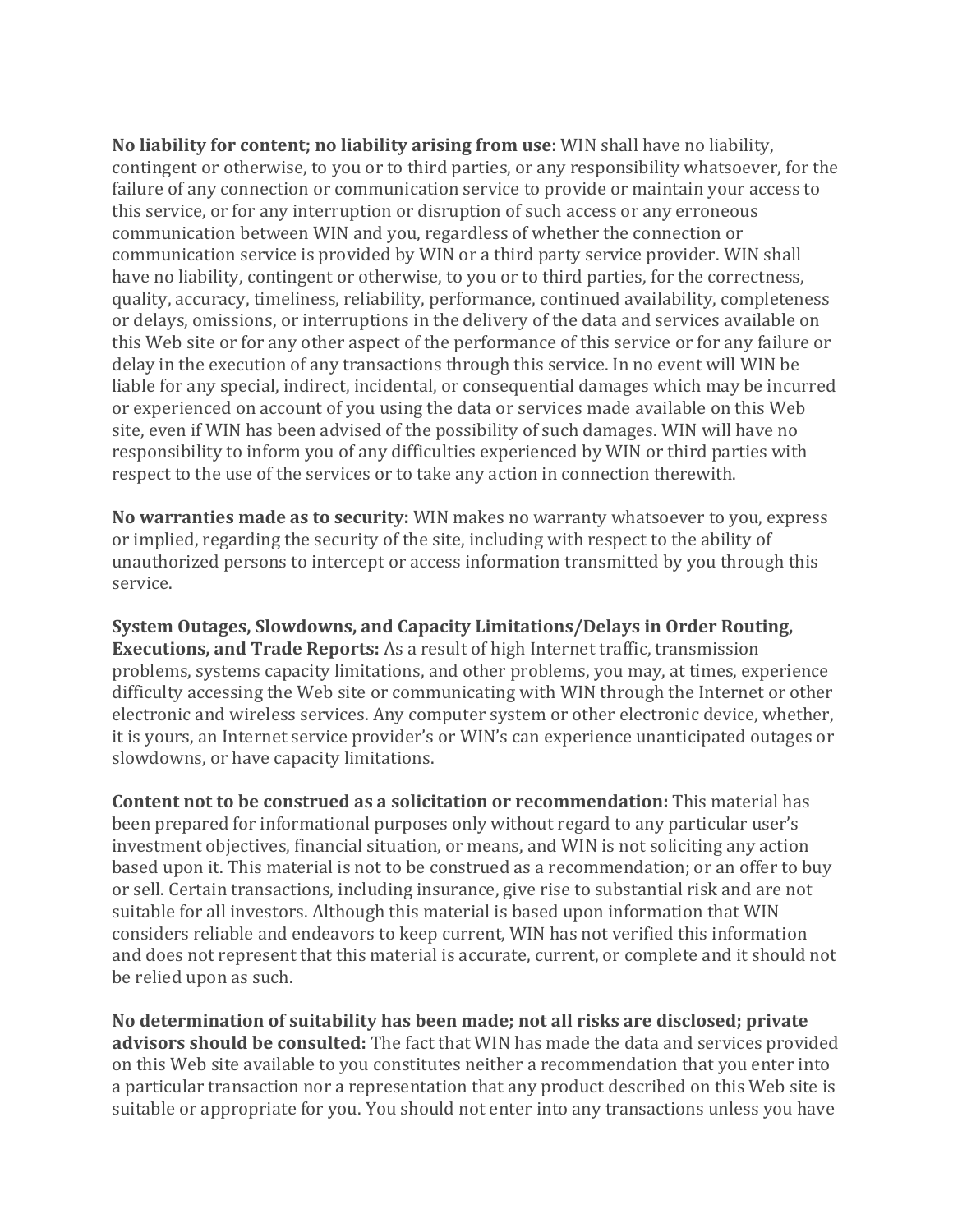**No liability for content; no liability arising from use:** WIN shall have no liability, contingent or otherwise, to you or to third parties, or any responsibility whatsoever, for the failure of any connection or communication service to provide or maintain your access to this service, or for any interruption or disruption of such access or any erroneous communication between WIN and you, regardless of whether the connection or communication service is provided by WIN or a third party service provider. WIN shall have no liability, contingent or otherwise, to you or to third parties, for the correctness, quality, accuracy, timeliness, reliability, performance, continued availability, completeness or delays, omissions, or interruptions in the delivery of the data and services available on this Web site or for any other aspect of the performance of this service or for any failure or delay in the execution of any transactions through this service. In no event will WIN be liable for any special, indirect, incidental, or consequential damages which may be incurred or experienced on account of you using the data or services made available on this Web site, even if WIN has been advised of the possibility of such damages. WIN will have no responsibility to inform you of any difficulties experienced by WIN or third parties with respect to the use of the services or to take any action in connection therewith.

**No warranties made as to security:** WIN makes no warranty whatsoever to you, express or implied, regarding the security of the site, including with respect to the ability of unauthorized persons to intercept or access information transmitted by you through this service.

**System Outages, Slowdowns, and Capacity Limitations/Delays in Order Routing, Executions, and Trade Reports:** As a result of high Internet traffic, transmission problems, systems capacity limitations, and other problems, you may, at times, experience difficulty accessing the Web site or communicating with WIN through the Internet or other electronic and wireless services. Any computer system or other electronic device, whether, it is yours, an Internet service provider's or WIN's can experience unanticipated outages or slowdowns, or have capacity limitations.

**Content not to be construed as a solicitation or recommendation:** This material has been prepared for informational purposes only without regard to any particular user's investment objectives, financial situation, or means, and WIN is not soliciting any action based upon it. This material is not to be construed as a recommendation; or an offer to buy or sell. Certain transactions, including insurance, give rise to substantial risk and are not suitable for all investors. Although this material is based upon information that WIN considers reliable and endeavors to keep current, WIN has not verified this information and does not represent that this material is accurate, current, or complete and it should not be relied upon as such.

**No determination of suitability has been made; not all risks are disclosed; private advisors should be consulted:** The fact that WIN has made the data and services provided on this Web site available to you constitutes neither a recommendation that you enter into a particular transaction nor a representation that any product described on this Web site is suitable or appropriate for you. You should not enter into any transactions unless you have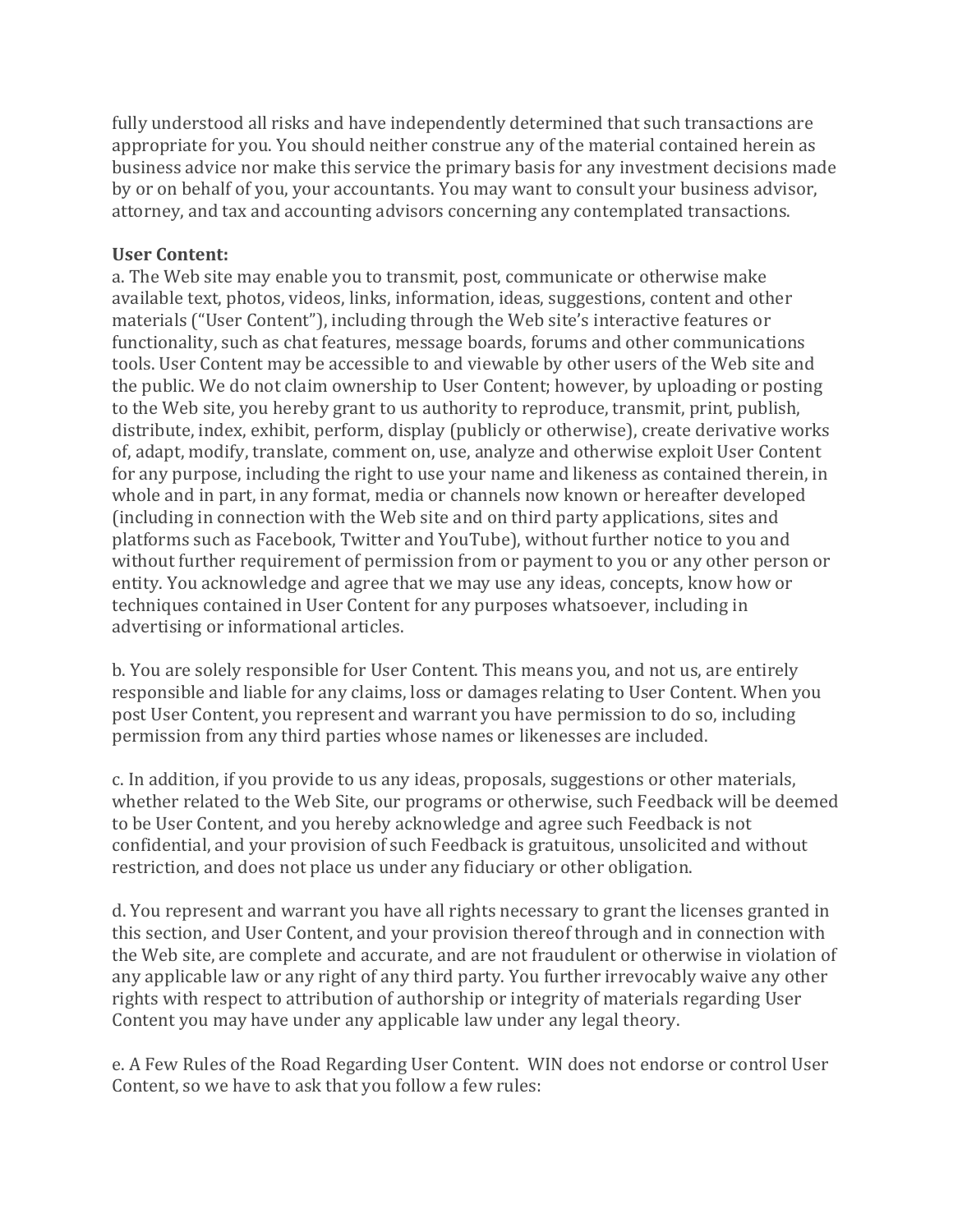fully understood all risks and have independently determined that such transactions are appropriate for you. You should neither construe any of the material contained herein as business advice nor make this service the primary basis for any investment decisions made by or on behalf of you, your accountants. You may want to consult your business advisor, attorney, and tax and accounting advisors concerning any contemplated transactions.

## **User Content:**

a. The Web site may enable you to transmit, post, communicate or otherwise make available text, photos, videos, links, information, ideas, suggestions, content and other materials ("User Content"), including through the Web site's interactive features or functionality, such as chat features, message boards, forums and other communications tools. User Content may be accessible to and viewable by other users of the Web site and the public. We do not claim ownership to User Content; however, by uploading or posting to the Web site, you hereby grant to us authority to reproduce, transmit, print, publish, distribute, index, exhibit, perform, display (publicly or otherwise), create derivative works of, adapt, modify, translate, comment on, use, analyze and otherwise exploit User Content for any purpose, including the right to use your name and likeness as contained therein, in whole and in part, in any format, media or channels now known or hereafter developed (including in connection with the Web site and on third party applications, sites and platforms such as Facebook, Twitter and YouTube), without further notice to you and without further requirement of permission from or payment to you or any other person or entity. You acknowledge and agree that we may use any ideas, concepts, know how or techniques contained in User Content for any purposes whatsoever, including in advertising or informational articles.

b. You are solely responsible for User Content. This means you, and not us, are entirely responsible and liable for any claims, loss or damages relating to User Content. When you post User Content, you represent and warrant you have permission to do so, including permission from any third parties whose names or likenesses are included.

c. In addition, if you provide to us any ideas, proposals, suggestions or other materials, whether related to the Web Site, our programs or otherwise, such Feedback will be deemed to be User Content, and you hereby acknowledge and agree such Feedback is not confidential, and your provision of such Feedback is gratuitous, unsolicited and without restriction, and does not place us under any fiduciary or other obligation.

d. You represent and warrant you have all rights necessary to grant the licenses granted in this section, and User Content, and your provision thereof through and in connection with the Web site, are complete and accurate, and are not fraudulent or otherwise in violation of any applicable law or any right of any third party. You further irrevocably waive any other rights with respect to attribution of authorship or integrity of materials regarding User Content you may have under any applicable law under any legal theory.

e. A Few Rules of the Road Regarding User Content. WIN does not endorse or control User Content, so we have to ask that you follow a few rules: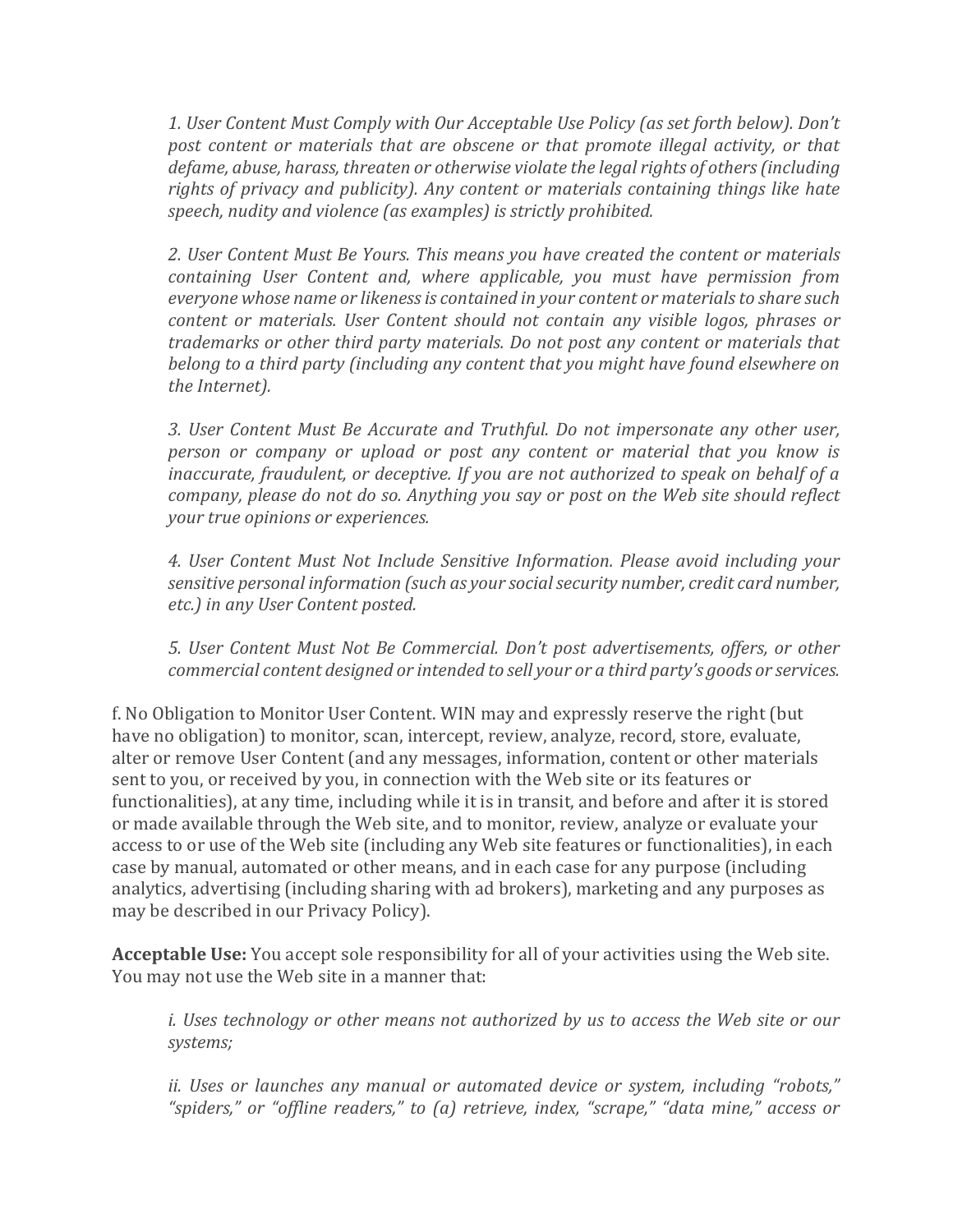*1. User Content Must Comply with Our Acceptable Use Policy (as set forth below). Don't*  post content or materials that are obscene or that promote illegal activity, or that *defame, abuse, harass, threaten or otherwise violate the legal rights of others (including rights of privacy and publicity). Any content or materials containing things like hate speech, nudity and violence (as examples) is strictly prohibited.*

*2. User Content Must Be Yours. This means you have created the content or materials containing User Content and, where applicable, you must have permission from everyone whose name or likeness is contained in your content or materials to share such content or materials. User Content should not contain any visible logos, phrases or trademarks or other third party materials. Do not post any content or materials that belong to a third party (including any content that you might have found elsewhere on the Internet).*

*3. User Content Must Be Accurate and Truthful. Do not impersonate any other user, person or company or upload or post any content or material that you know is inaccurate, fraudulent, or deceptive. If you are not authorized to speak on behalf of a company, please do not do so. Anything you say or post on the Web site should reflect your true opinions or experiences.*

*4. User Content Must Not Include Sensitive Information. Please avoid including your sensitive personal information (such as your social security number, credit card number, etc.) in any User Content posted.*

*5. User Content Must Not Be Commercial. Don't post advertisements, offers, or other commercial content designed or intended to sell your or a third party's goods or services.*

f. No Obligation to Monitor User Content. WIN may and expressly reserve the right (but have no obligation) to monitor, scan, intercept, review, analyze, record, store, evaluate, alter or remove User Content (and any messages, information, content or other materials sent to you, or received by you, in connection with the Web site or its features or functionalities), at any time, including while it is in transit, and before and after it is stored or made available through the Web site, and to monitor, review, analyze or evaluate your access to or use of the Web site (including any Web site features or functionalities), in each case by manual, automated or other means, and in each case for any purpose (including analytics, advertising (including sharing with ad brokers), marketing and any purposes as may be described in our Privacy Policy).

**Acceptable Use:** You accept sole responsibility for all of your activities using the Web site. You may not use the Web site in a manner that:

*i. Uses technology or other means not authorized by us to access the Web site or our systems;*

*ii. Uses or launches any manual or automated device or system, including "robots," "spiders," or "offline readers," to (a) retrieve, index, "scrape," "data mine," access or*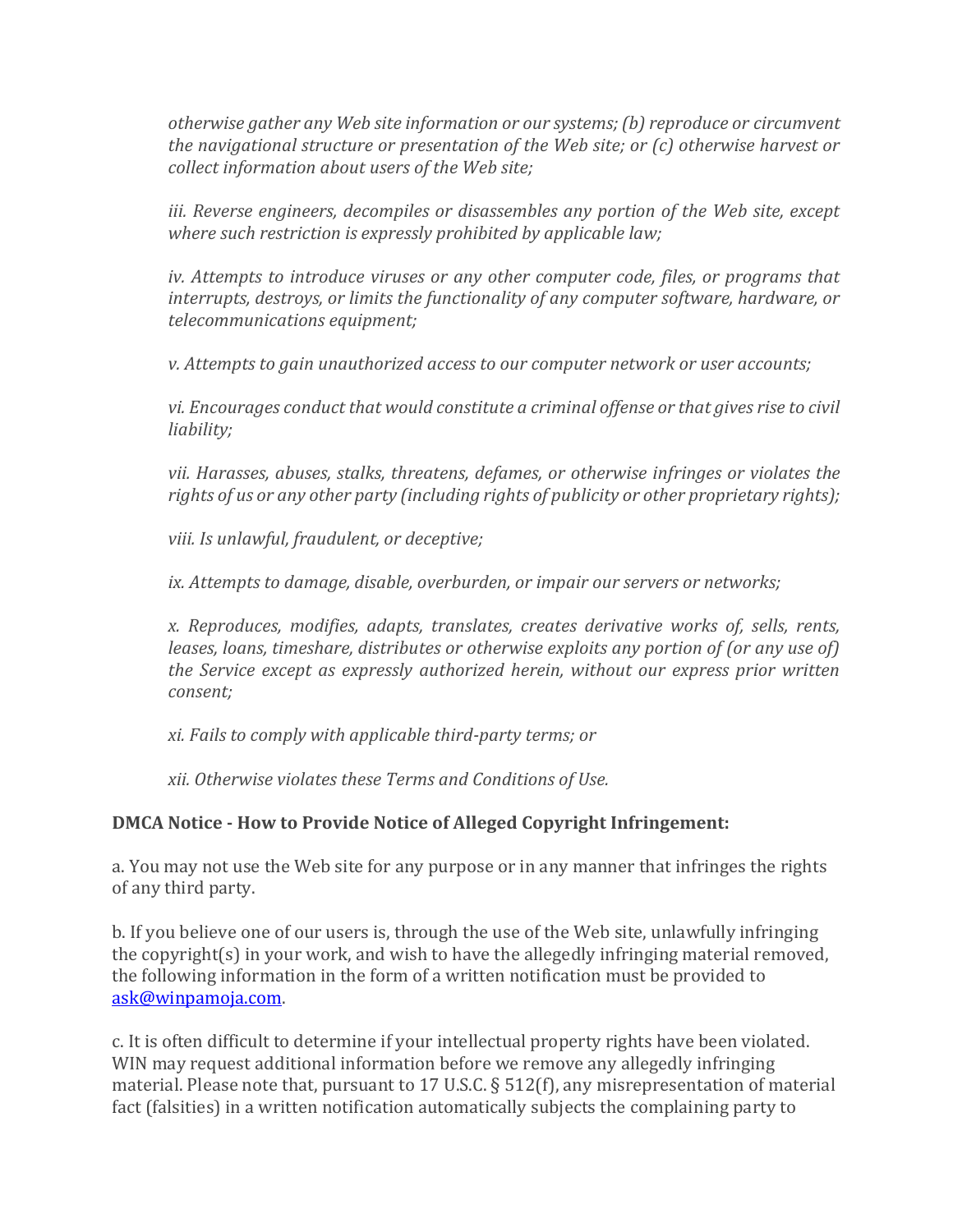*otherwise gather any Web site information or our systems; (b) reproduce or circumvent the navigational structure or presentation of the Web site; or (c) otherwise harvest or collect information about users of the Web site;*

iii. Reverse engineers, decompiles or disassembles any portion of the Web site, except *where such restriction is expressly prohibited by applicable law;*

*iv. Attempts to introduce viruses or any other computer code, files, or programs that interrupts, destroys, or limits the functionality of any computer software, hardware, or telecommunications equipment;*

*v. Attempts to gain unauthorized access to our computer network or user accounts;*

*vi. Encourages conduct that would constitute a criminal offense or that gives rise to civil liability;*

*vii. Harasses, abuses, stalks, threatens, defames, or otherwise infringes or violates the rights of us or any other party (including rights of publicity or other proprietary rights);*

*viii. Is unlawful, fraudulent, or deceptive;*

*ix. Attempts to damage, disable, overburden, or impair our servers or networks;*

*x. Reproduces, modifies, adapts, translates, creates derivative works of, sells, rents, leases, loans, timeshare, distributes or otherwise exploits any portion of (or any use of) the Service except as expressly authorized herein, without our express prior written consent;*

*xi. Fails to comply with applicable third-party terms; or*

*xii. Otherwise violates these Terms and Conditions of Use.*

## **DMCA Notice - How to Provide Notice of Alleged Copyright Infringement:**

a. You may not use the Web site for any purpose or in any manner that infringes the rights of any third party.

b. If you believe one of our users is, through the use of the Web site, unlawfully infringing the copyright(s) in your work, and wish to have the allegedly infringing material removed, the following information in the form of a written notification must be provided to [ask@winpamoja.com.](mailto:ask@winpamoja.com) 

c. It is often difficult to determine if your intellectual property rights have been violated. WIN may request additional information before we remove any allegedly infringing material. Please note that, pursuant to 17 U.S.C. § 512(f), any misrepresentation of material fact (falsities) in a written notification automatically subjects the complaining party to